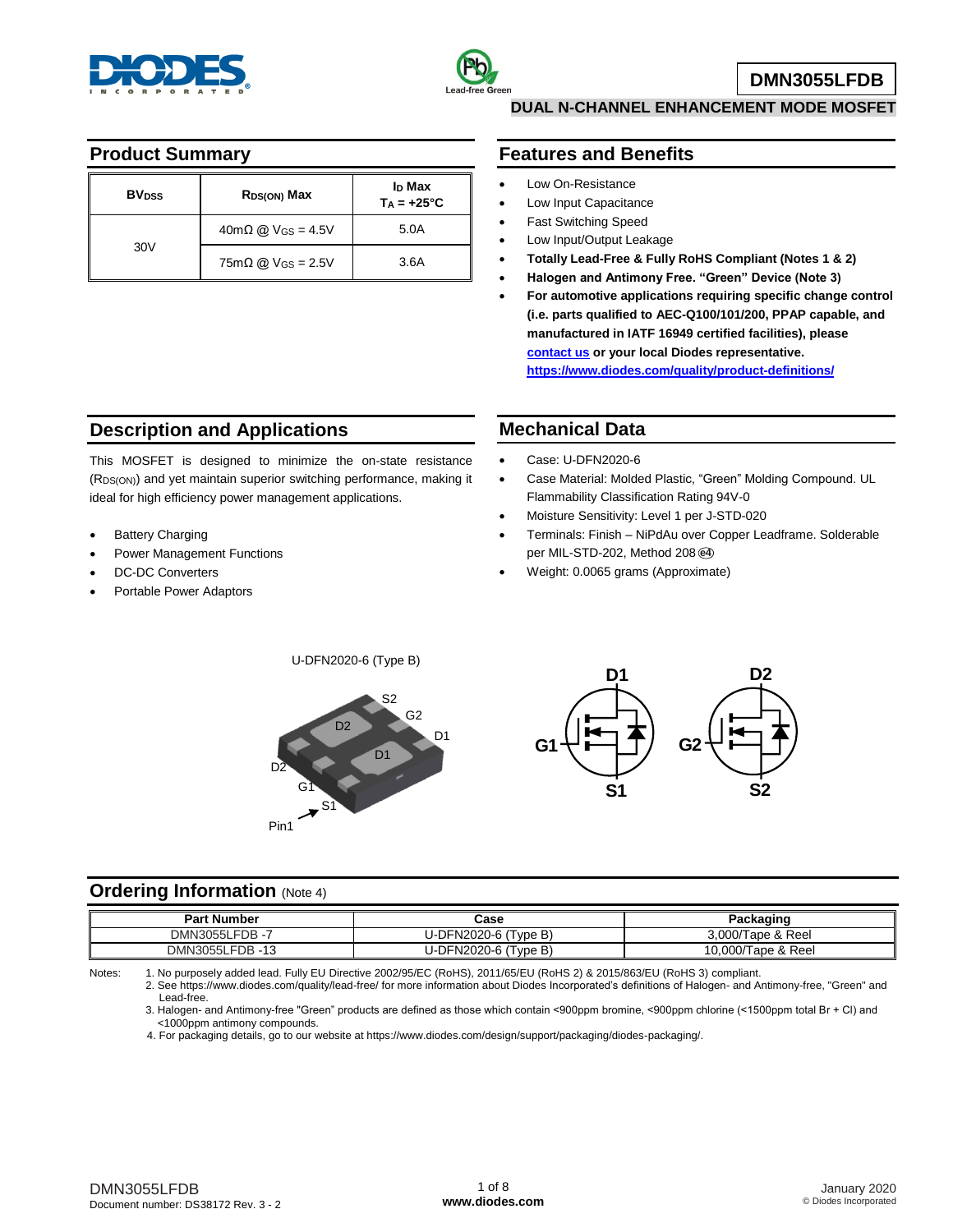



**DMN3055LFDB**

### **Product Summary**

| <b>BV</b> <sub>pss</sub> | R <sub>DS(ON)</sub> Max                          | <b>I<sub>D</sub> Max</b><br>$Ta = +25^{\circ}C$ |
|--------------------------|--------------------------------------------------|-------------------------------------------------|
|                          | $40 \text{m}\Omega$ @ V <sub>GS</sub> = 4.5V     | 5.0A                                            |
| 30V                      | $75 \text{mA}$ $\text{Q}$ V <sub>GS</sub> = 2.5V | 3.6A                                            |

# **DUAL N-CHANNEL ENHANCEMENT MODE MOSFET**

### **Features and Benefits**

- Low On-Resistance
- Low Input Capacitance
- Fast Switching Speed
- Low Input/Output Leakage
- **Totally Lead-Free & Fully RoHS Compliant (Notes 1 & 2)**
- **Halogen and Antimony Free. "Green" Device (Note 3)**
- **For automotive applications requiring specific change control (i.e. parts qualified to AEC-Q100/101/200, PPAP capable, and manufactured in IATF 16949 certified facilities), please [contact us](https://www.diodes.com/about/contact-us/) or your local Diodes representative. <https://www.diodes.com/quality/product-definitions/>**

# **Description and Applications**

This MOSFET is designed to minimize the on-state resistance (RDS(ON)) and yet maintain superior switching performance, making it ideal for high efficiency power management applications.

- Battery Charging
- Power Management Functions
- DC-DC Converters
- Portable Power Adaptors

#### **Mechanical Data**

- Case: U-DFN2020-6
- Case Material: Molded Plastic, "Green" Molding Compound. UL Flammability Classification Rating 94V-0
- Moisture Sensitivity: Level 1 per J-STD-020
- Terminals: Finish NiPdAu over Copper Leadframe. Solderable per MIL-STD-202, Method 208 **e4**
- Weight: 0.0065 grams (Approximate)





#### **Ordering Information** (Note 4)

| <b>Part Number</b>        | Case                 | Packaging          |
|---------------------------|----------------------|--------------------|
| FDB-7<br><b>DMN3055LF</b> | U-DFN2020-6 (Type B) | 3.000/Tape & Reel  |
| DMN3055LFDB-13            | U-DFN2020-6 (Type B) | 10,000/Tape & Reel |

Notes: 1. No purposely added lead. Fully EU Directive 2002/95/EC (RoHS), 2011/65/EU (RoHS 2) & 2015/863/EU (RoHS 3) compliant. 2. See [https://www.diodes.com/quality/lead-free/ fo](https://www.diodes.com/quality/lead-free/)r more information about Diodes Incorporated's definitions of Halogen- and Antimony-free, "Green" and

Lead-free.

3. Halogen- and Antimony-free "Green" products are defined as those which contain <900ppm bromine, <900ppm chlorine (<1500ppm total Br + Cl) and <1000ppm antimony compounds.

4. For packaging details, go to our website at [https://www.diodes.com/design/support/packaging/diodes-packaging/.](https://www.diodes.com/design/support/packaging/diodes-packaging/)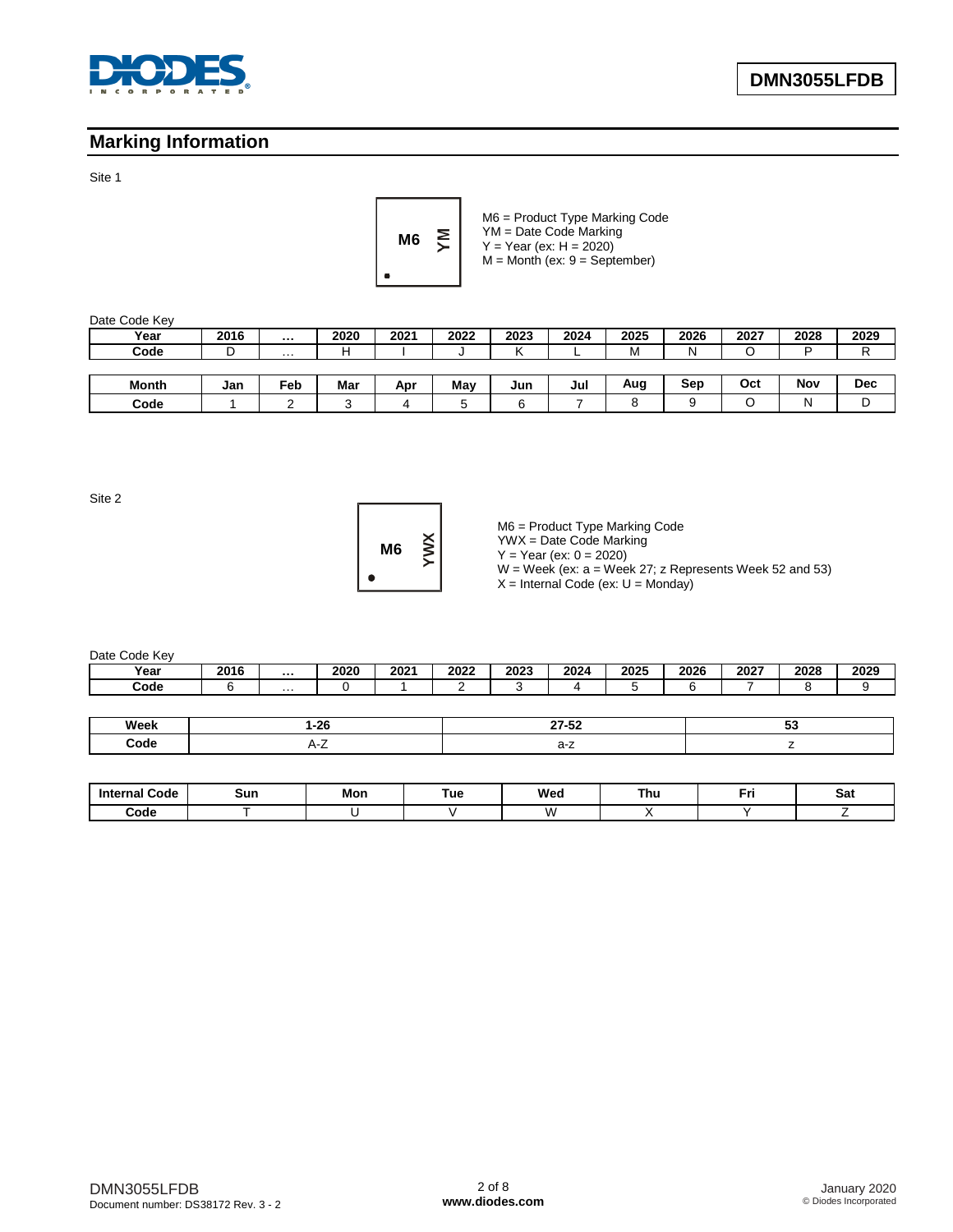

## **Marking Information**

Site 1



M6 = Product Type Marking Code YM = Date Code Marking  $Y = Year (ex: H = 2020)$  $M =$  Month (ex:  $9 =$  September)

| Date Code Key |        |                      |        |      |      |      |      |      |      |      |      |            |
|---------------|--------|----------------------|--------|------|------|------|------|------|------|------|------|------------|
| Year          | 2016   | $\sim 0.00$          | 2020   | 2021 | 2022 | 2023 | 2024 | 2025 | 2026 | 2027 | 2028 | 2029       |
| Code          | n<br>◡ | $\sim$ $\sim$ $\sim$ | н      |      | u    |      |      | м    | N    |      | D    | D          |
|               |        |                      |        |      |      |      |      |      |      |      |      |            |
| Month         | Jan    | Feb                  | Mar    | Apr  | May  | Jun  | Jul  | Aug  | Sep  | Oct  | Nov  | <b>Dec</b> |
| Code          |        |                      | ◠<br>ບ | д    | 5    | 6    |      | o    |      | ╰    | N    | D          |

Site 2



M6 = Product Type Marking Code

YWX = Date Code Marking  $Y = Year (ex: 0 = 2020)$ 

W = Week (ex: a = Week 27; z Represents Week 52 and 53)

 $X =$  Internal Code (ex:  $U =$  Monday)

Date Code Key

| --------- |      |                   |      |      |      |      |      |      |      |      |      |      |
|-----------|------|-------------------|------|------|------|------|------|------|------|------|------|------|
| Year      | 2016 | $\cdots$          | 2020 | 2021 | 2022 | 2023 | 2024 | 2025 | 2026 | 2027 | 2028 | 2029 |
| Code      |      | $\cdot\cdot\cdot$ |      |      |      |      |      |      |      |      |      |      |
|           |      |                   |      |      |      |      |      |      |      |      |      |      |

| Week | $\sim$<br>--- | $- - - -$ |  |
|------|---------------|-----------|--|
| Code |               |           |  |

| <b>Internal Code</b> | Sun | Mon | Tue | Wed          | Thu | . | Sat |
|----------------------|-----|-----|-----|--------------|-----|---|-----|
| Code                 |     |     |     | $\mathbf{v}$ |     |   |     |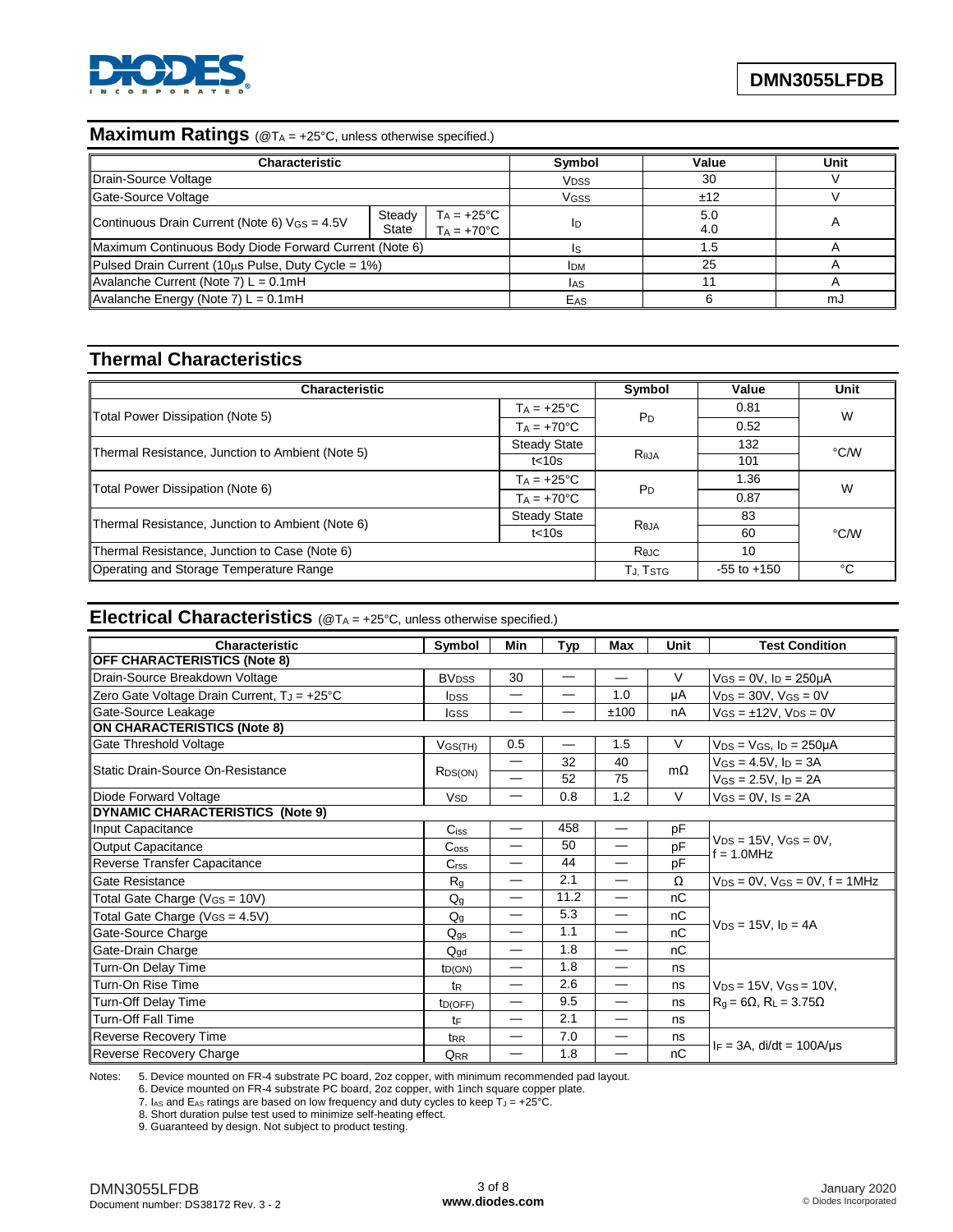

## **Maximum Ratings** (@T<sup>A</sup> = +25°C, unless otherwise specified.)

| Characteristic                                         |                 | Symbol                                     | Value                  | Unit       |    |
|--------------------------------------------------------|-----------------|--------------------------------------------|------------------------|------------|----|
| Drain-Source Voltage                                   |                 |                                            | <b>V<sub>DSS</sub></b> | 30         |    |
| Gate-Source Voltage                                    |                 |                                            | VGSS                   | ±12        |    |
| Continuous Drain Current (Note 6) VGS = 4.5V           | Steady<br>State | $Ta = +25^{\circ}C$<br>$TA = +70^{\circ}C$ | ID                     | 5.0<br>4.0 |    |
| Maximum Continuous Body Diode Forward Current (Note 6) |                 |                                            |                        | 1.5        |    |
| Pulsed Drain Current (10us Pulse, Duty Cycle = 1%)     |                 |                                            | <b>IDM</b>             | 25         |    |
| Avalanche Current (Note 7) $L = 0.1$ mH                |                 |                                            | <b>JAS</b>             |            |    |
| Avalanche Energy (Note 7) $L = 0.1$ mH                 |                 |                                            | EAS                    |            | m. |

#### **Thermal Characteristics**

| <b>Characteristic</b>                            | Symbol               | Value          | Unit            |      |  |
|--------------------------------------------------|----------------------|----------------|-----------------|------|--|
|                                                  | $T_A = +25^{\circ}C$ | $P_D$          | 0.81            | W    |  |
| Total Power Dissipation (Note 5)                 | $Ta = +70°C$         |                | 0.52            |      |  |
| Thermal Resistance, Junction to Ambient (Note 5) | <b>Steady State</b>  |                | 132             | °C/W |  |
|                                                  | $t<$ 10s             | $R_{\theta$ JA | 101             |      |  |
| Total Power Dissipation (Note 6)                 | $T_A = +25^{\circ}C$ | P <sub>D</sub> | 1.36            | W    |  |
|                                                  | $Ta = +70°C$         |                | 0.87            |      |  |
| Thermal Resistance, Junction to Ambient (Note 6) | <b>Steady State</b>  |                | 83              |      |  |
|                                                  | $t<$ 10s             | Reja           | 60              | °C/W |  |
| Thermal Resistance, Junction to Case (Note 6)    |                      | Rejc           | 10              |      |  |
| Operating and Storage Temperature Range          |                      | Tj. Tstg       | $-55$ to $+150$ | °C   |  |

#### **Electrical Characteristics** (@T<sup>A</sup> = +25°C, unless otherwise specified.)

| Characteristic                              | Symbol                  | Min                      | Typ                      | <b>Max</b>               | Unit      | <b>Test Condition</b>                             |
|---------------------------------------------|-------------------------|--------------------------|--------------------------|--------------------------|-----------|---------------------------------------------------|
| <b>OFF CHARACTERISTICS (Note 8)</b>         |                         |                          |                          |                          |           |                                                   |
| Drain-Source Breakdown Voltage              | <b>BV<sub>DSS</sub></b> | 30                       |                          | —                        | $\vee$    | $V$ <sub>GS</sub> = 0V, $I_D$ = 250 $\mu$ A       |
| Zero Gate Voltage Drain Current, TJ = +25°C | <b>I</b> DSS            | —                        |                          | 1.0                      | μA        | $V_{DS} = 30V$ , $V_{GS} = 0V$                    |
| Gate-Source Leakage                         | <b>I</b> GSS            |                          |                          | ±100                     | nA        | $V_{GS} = \pm 12V$ , $V_{DS} = 0V$                |
| <b>ON CHARACTERISTICS (Note 8)</b>          |                         |                          |                          |                          |           |                                                   |
| Gate Threshold Voltage                      | $V$ GS(TH)              | 0.5                      | $\overline{\phantom{0}}$ | 1.5                      | $\vee$    | $V_{DS}$ = $V_{GS}$ , $I_D$ = 250µA               |
| Static Drain-Source On-Resistance           |                         | $\overline{\phantom{0}}$ | 32                       | 40                       | $m\Omega$ | $V$ GS = 4.5V, $I_D$ = 3A                         |
|                                             | R <sub>DS(ON)</sub>     |                          | 52                       | 75                       |           | $V$ GS = 2.5V, $I_D = 2A$                         |
| Diode Forward Voltage                       | <b>V<sub>SD</sub></b>   | $\overline{\phantom{0}}$ | 0.8                      | 1.2                      | $\vee$    | $V_{GS} = 0V$ , $I_S = 2A$                        |
| DYNAMIC CHARACTERISTICS (Note 9)            |                         |                          |                          |                          |           |                                                   |
| Input Capacitance                           | $C$ <sub>iss</sub>      | $\overline{\phantom{0}}$ | 458                      | $\overline{\phantom{0}}$ | pF        |                                                   |
| <b>Output Capacitance</b>                   | C <sub>oss</sub>        | $\overline{\phantom{0}}$ | 50                       | $\overline{\phantom{0}}$ | pF        | $V_{DS} = 15V$ , $V_{GS} = 0V$ ,<br>$f = 1.0$ MHz |
| Reverse Transfer Capacitance                | C <sub>rss</sub>        | —                        | 44                       | $\overline{\phantom{0}}$ | pF        |                                                   |
| Gate Resistance                             | $R_{q}$                 | $\overline{\phantom{0}}$ | 2.1                      | $\overline{\phantom{0}}$ | Ω         | $V_{DS}$ = 0V, $V_{GS}$ = 0V, f = 1MHz            |
| Total Gate Charge (VGS = 10V)               | $Q_q$                   | —                        | 11.2                     | —                        | nC        |                                                   |
| Total Gate Charge ( $V_{GS} = 4.5V$ )       | $Q_q$                   | $\overline{\phantom{0}}$ | 5.3                      | $\overline{\phantom{0}}$ | nC        |                                                   |
| Gate-Source Charge                          | $Q_{qs}$                | —                        | 1.1                      | $\overline{\phantom{0}}$ | nC        | $V_{DS} = 15V$ , $I_D = 4A$                       |
| Gate-Drain Charge                           | $Q_{\text{ad}}$         | $\overline{\phantom{0}}$ | 1.8                      | $\overline{\phantom{0}}$ | nC        |                                                   |
| Turn-On Delay Time                          | ID(ON)                  | —                        | 1.8                      | —                        | ns        |                                                   |
| Turn-On Rise Time                           | t <sub>R</sub>          | $\overline{\phantom{0}}$ | 2.6                      | $\overline{\phantom{0}}$ | ns        | $V_{DS} = 15V$ , $V_{GS} = 10V$ ,                 |
| Turn-Off Delay Time                         | tp(OFF)                 | —                        | 9.5                      |                          | ns        | $R_g = 6\Omega$ , $R_L = 3.75\Omega$              |
| Turn-Off Fall Time                          | tF                      | —                        | 2.1                      |                          | ns        |                                                   |
| Reverse Recovery Time                       | t <sub>RR</sub>         | —                        | 7.0                      | $\overline{\phantom{0}}$ | ns        |                                                   |
| Reverse Recovery Charge                     | Q <sub>RR</sub>         | —                        | 1.8                      | —                        | nC        | $I_F = 3A$ , di/dt = 100A/us                      |

Notes: 5. Device mounted on FR-4 substrate PC board, 2oz copper, with minimum recommended pad layout.

6. Device mounted on FR-4 substrate PC board, 2oz copper, with 1inch square copper plate.

7.  $I_{AS}$  and E<sub>AS</sub> ratings are based on low frequency and duty cycles to keep  $T_J = +25^{\circ}$ C.

8. Short duration pulse test used to minimize self-heating effect.

9. Guaranteed by design. Not subject to product testing.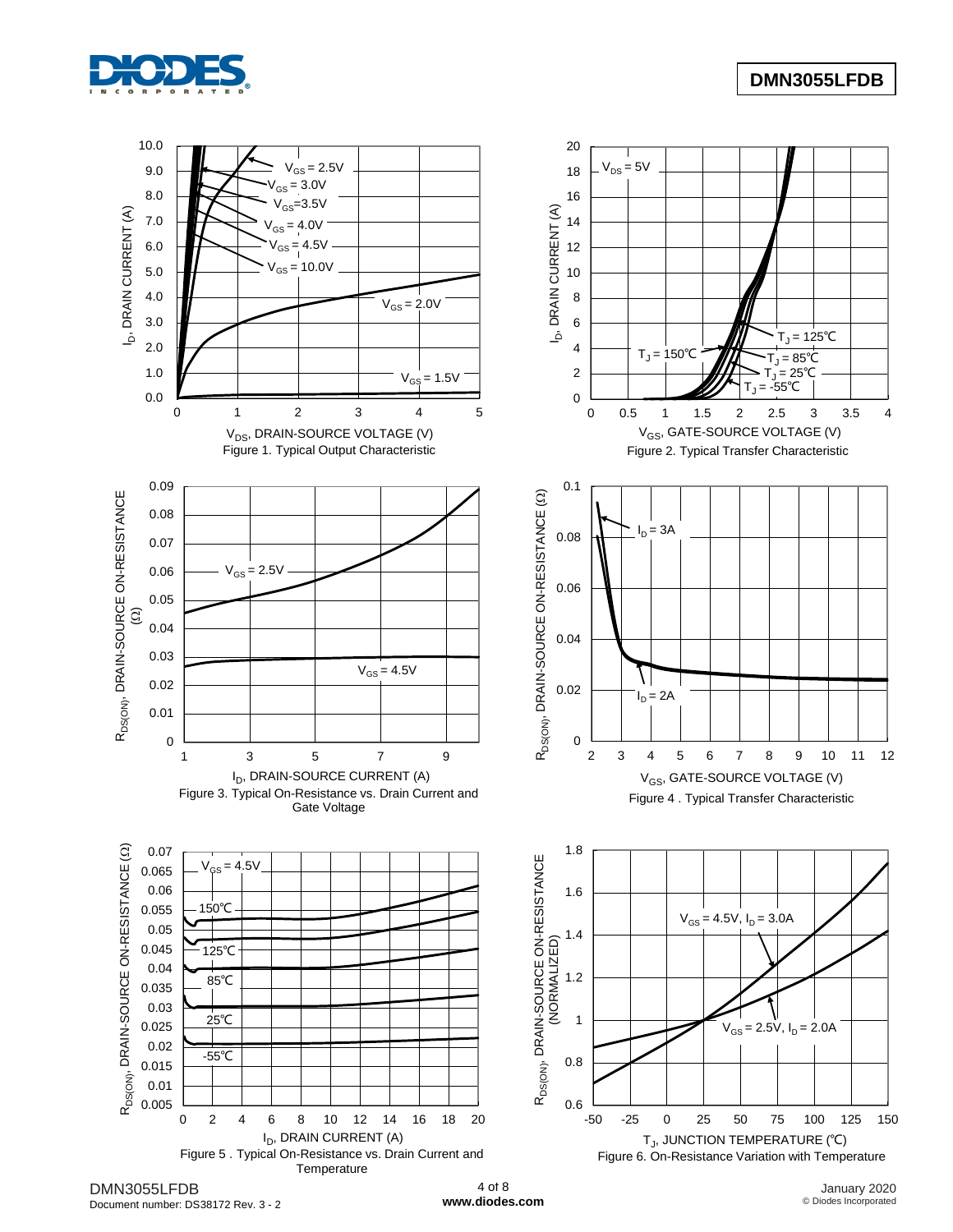



Document number: DS38172 Rev. 3 - 2

**[www.diodes.com](http://www.diodes.com/)**

January 2020 © Diodes Incorporated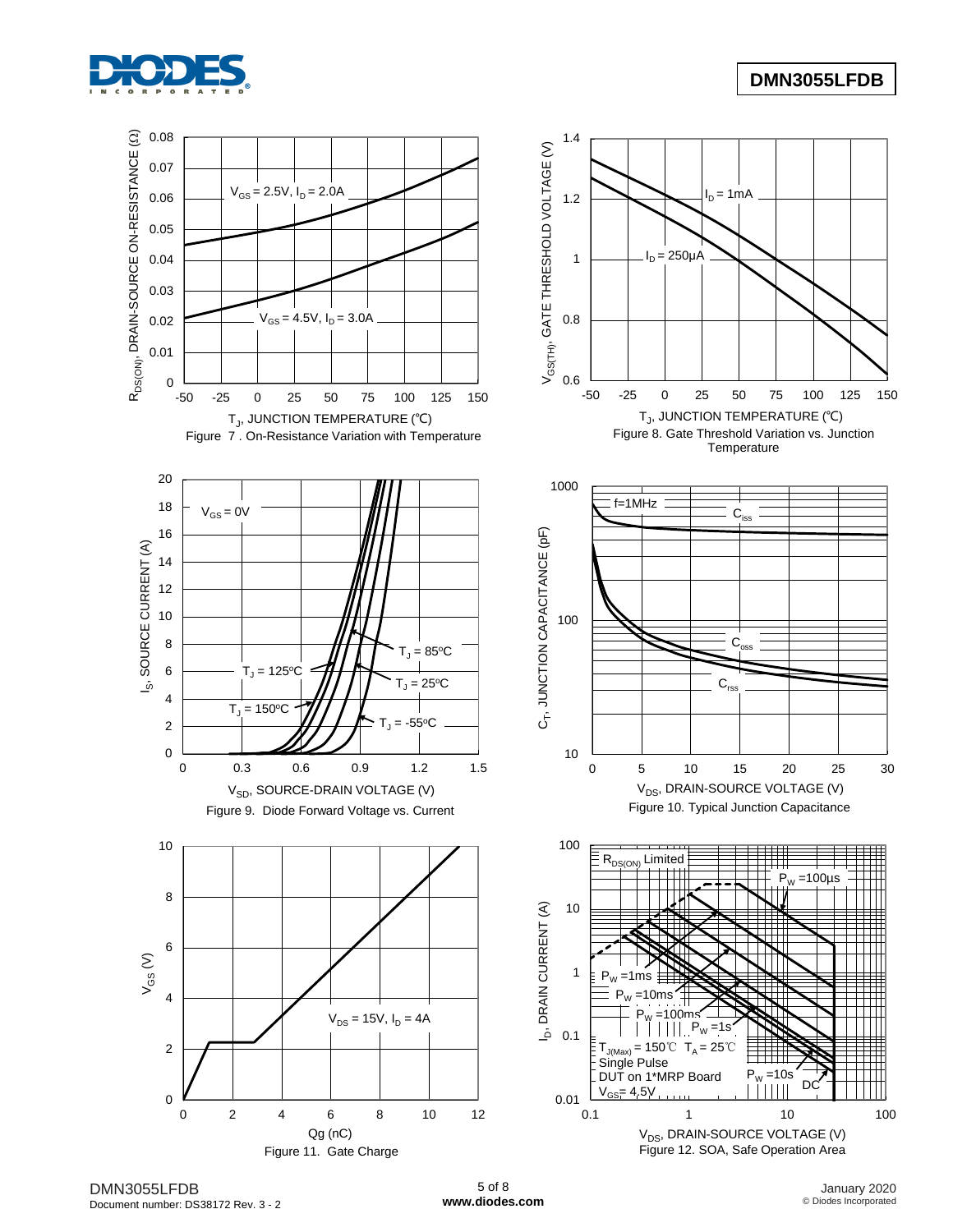

# **DMN3055LFDB**



DMN3055LFDB Document number: DS38172 Rev. 3 - 2

January 2020 © Diodes Incorporated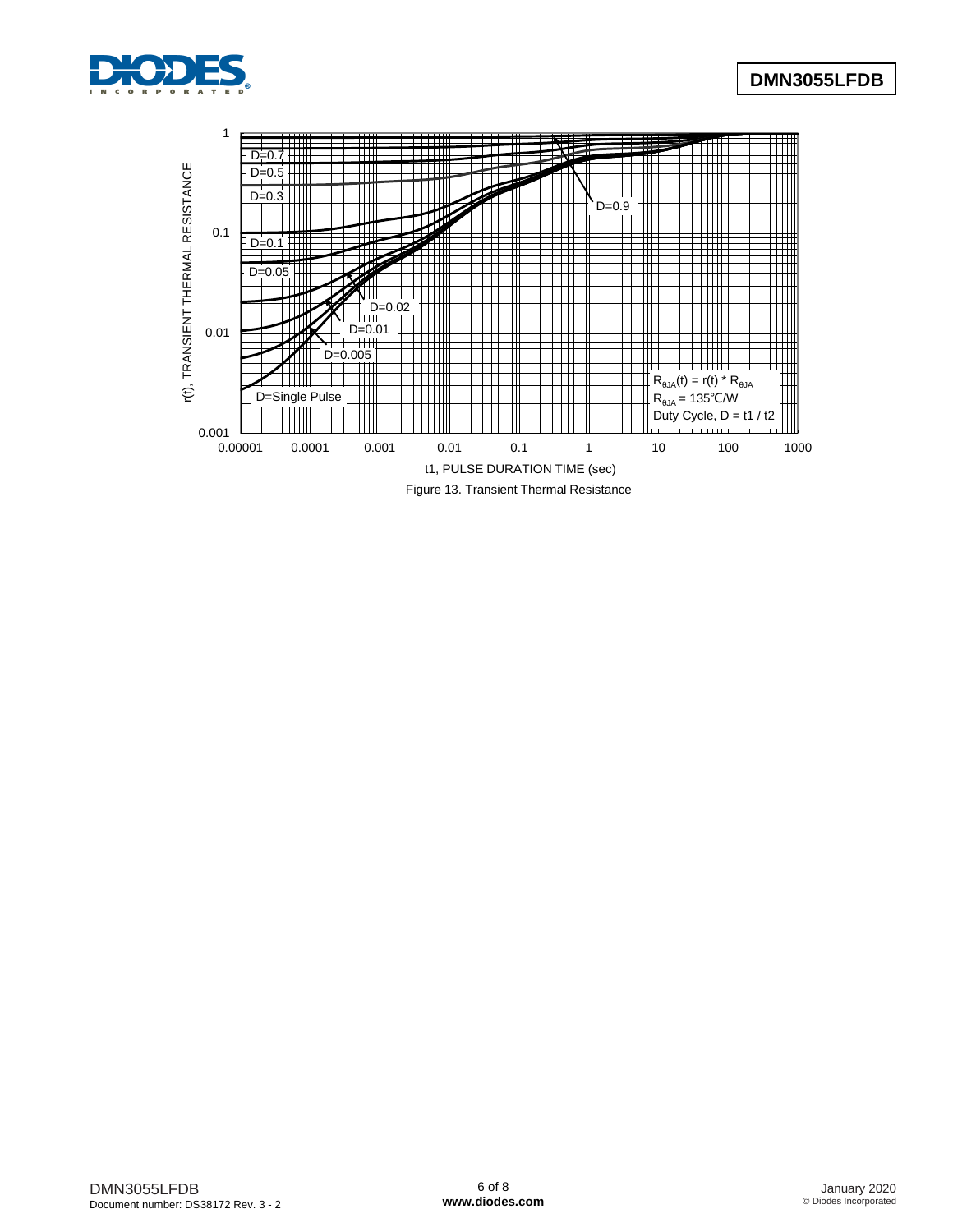

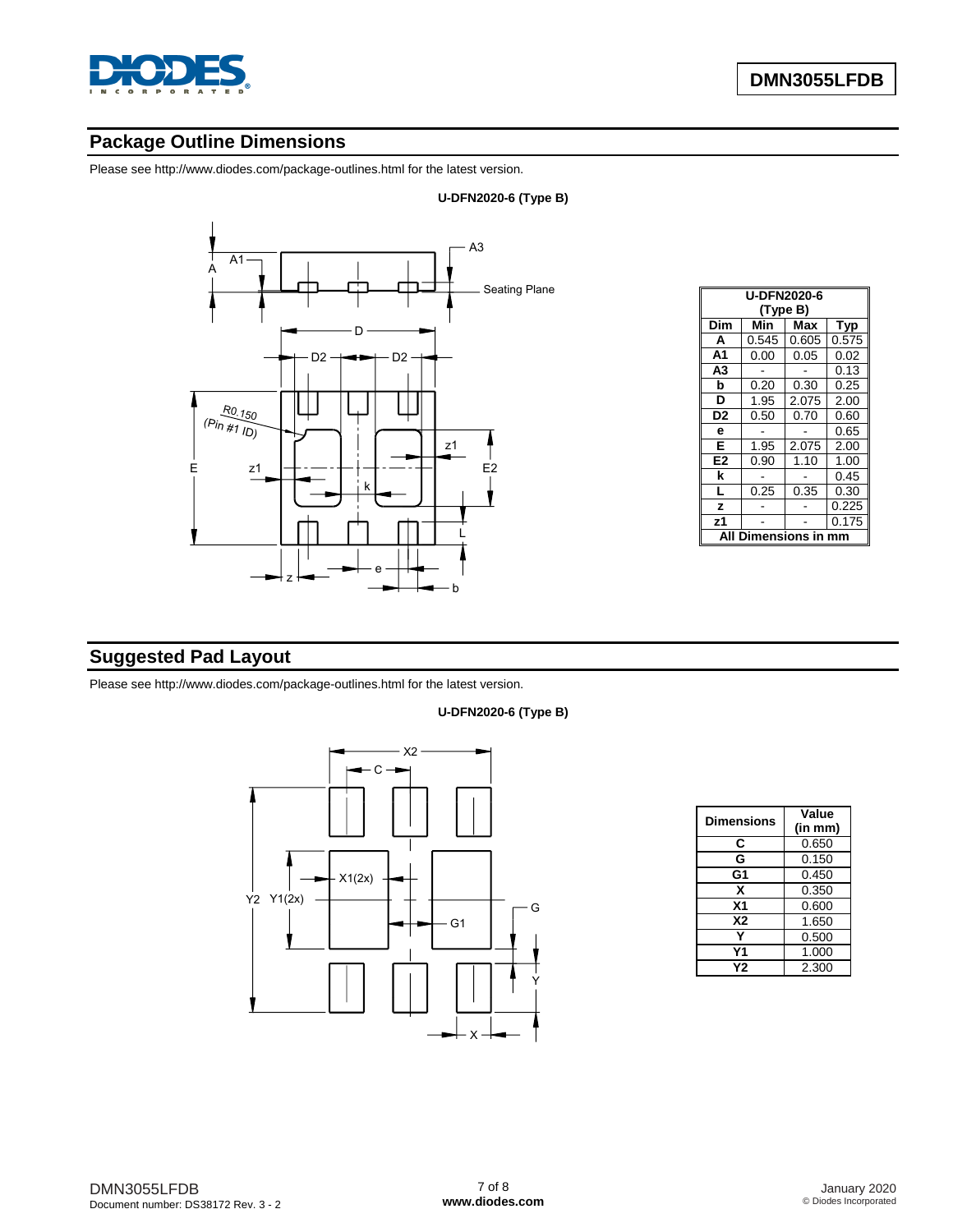

# **Package Outline Dimensions**

Please see <http://www.diodes.com/package-outlines.html> for the latest version.



|                | <b>U-DFN2020-6</b><br>(Type B) |            |       |  |  |  |  |  |
|----------------|--------------------------------|------------|-------|--|--|--|--|--|
| Dim            | Min                            | Max<br>Typ |       |  |  |  |  |  |
| A              | 0.545                          | 0.605      | 0.575 |  |  |  |  |  |
| A <sub>1</sub> | 0.00                           | 0.05       | 0.02  |  |  |  |  |  |
| A3             |                                |            | 0.13  |  |  |  |  |  |
| b              | 0.20                           | 0.30       | 0.25  |  |  |  |  |  |
| D              | 1.95                           | 2.075      | 2.00  |  |  |  |  |  |
| D <sub>2</sub> | 0.50                           | 0.70       | 0.60  |  |  |  |  |  |
| е              |                                |            | 0.65  |  |  |  |  |  |
| E              | 1.95                           | 2.075      | 2.00  |  |  |  |  |  |
| E <sub>2</sub> | 0.90                           | 1.10       | 1.00  |  |  |  |  |  |
| k              |                                |            | 0.45  |  |  |  |  |  |
| L              | 0.25                           | 0.35       | 0.30  |  |  |  |  |  |
| z              |                                |            | 0.225 |  |  |  |  |  |
| z <sub>1</sub> |                                |            | 0.175 |  |  |  |  |  |
|                | nensions                       |            |       |  |  |  |  |  |

# **Suggested Pad Layout**

Please see <http://www.diodes.com/package-outlines.html> for the latest version.

#### **U-DFN2020-6 (Type B)**



| <b>Dimensions</b> | Value   |
|-------------------|---------|
|                   | (in mm) |
| C                 | 0.650   |
| G                 | 0.150   |
| G1                | 0.450   |
| x                 | 0.350   |
| X <sub>1</sub>    | 0.600   |
| <b>X2</b>         | 1.650   |
|                   | 0.500   |
| Υ1                | 1.000   |
| Υ2                | 2.300   |

**U-DFN2020-6 (Type B)**